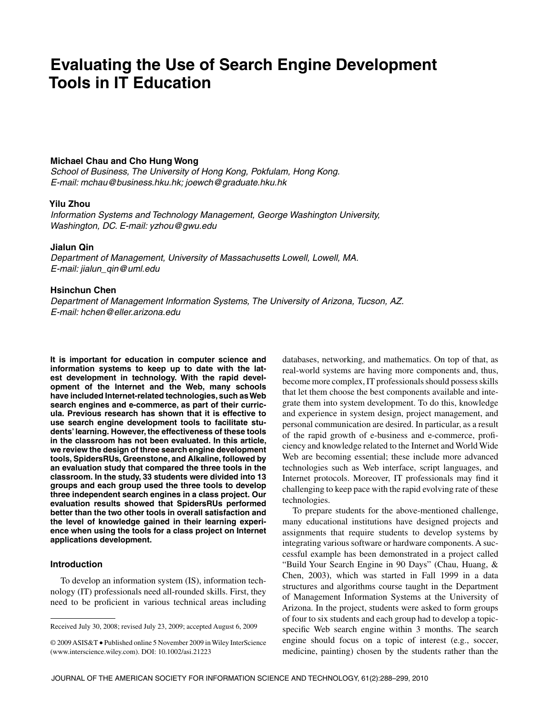# **Evaluating the Use of Search Engine Development Tools in IT Education**

# **Michael Chau and Cho Hung Wong**

School of Business, The University of Hong Kong, Pokfulam, Hong Kong. E-mail: mchau@business.hku.hk; joewch@graduate.hku.hk

## **Yilu Zhou**

Information Systems and Technology Management, George Washington University, Washington, DC. E-mail: yzhou@gwu.edu

## **Jialun Qin**

Department of Management, University of Massachusetts Lowell, Lowell, MA. E-mail: jialun\_qin@uml.edu

## **Hsinchun Chen**

Department of Management Information Systems, The University of Arizona, Tucson, AZ. E-mail: hchen@eller.arizona.edu

**It is important for education in computer science and information systems to keep up to date with the latest development in technology. With the rapid development of the Internet and the Web, many schools have included Internet-related technologies, such asWeb search engines and e-commerce, as part of their curricula. Previous research has shown that it is effective to use search engine development tools to facilitate students' learning. However, the effectiveness of these tools in the classroom has not been evaluated. In this article, we review the design of three search engine development tools, SpidersRUs, Greenstone, and Alkaline, followed by an evaluation study that compared the three tools in the classroom. In the study, 33 students were divided into 13 groups and each group used the three tools to develop three independent search engines in a class project. Our evaluation results showed that SpidersRUs performed better than the two other tools in overall satisfaction and the level of knowledge gained in their learning experience when using the tools for a class project on Internet applications development.**

## **Introduction**

To develop an information system (IS), information technology (IT) professionals need all-rounded skills. First, they need to be proficient in various technical areas including databases, networking, and mathematics. On top of that, as real-world systems are having more components and, thus, become more complex, IT professionals should possess skills that let them choose the best components available and integrate them into system development. To do this, knowledge and experience in system design, project management, and personal communication are desired. In particular, as a result of the rapid growth of e-business and e-commerce, proficiency and knowledge related to the Internet and World Wide Web are becoming essential; these include more advanced technologies such as Web interface, script languages, and Internet protocols. Moreover, IT professionals may find it challenging to keep pace with the rapid evolving rate of these technologies.

To prepare students for the above-mentioned challenge, many educational institutions have designed projects and assignments that require students to develop systems by integrating various software or hardware components. A successful example has been demonstrated in a project called "Build Your Search Engine in 90 Days" (Chau, Huang, & Chen, 2003), which was started in Fall 1999 in a data structures and algorithms course taught in the Department of Management Information Systems at the University of Arizona. In the project, students were asked to form groups of four to six students and each group had to develop a topicspecific Web search engine within 3 months. The search engine should focus on a topic of interest (e.g., soccer, medicine, painting) chosen by the students rather than the

Received July 30, 2008; revised July 23, 2009; accepted August 6, 2009

<sup>© 2009</sup> ASIS&T • Published online 5 November 2009 inWiley InterScience (www.interscience.wiley.com). DOI: 10.1002/asi.21223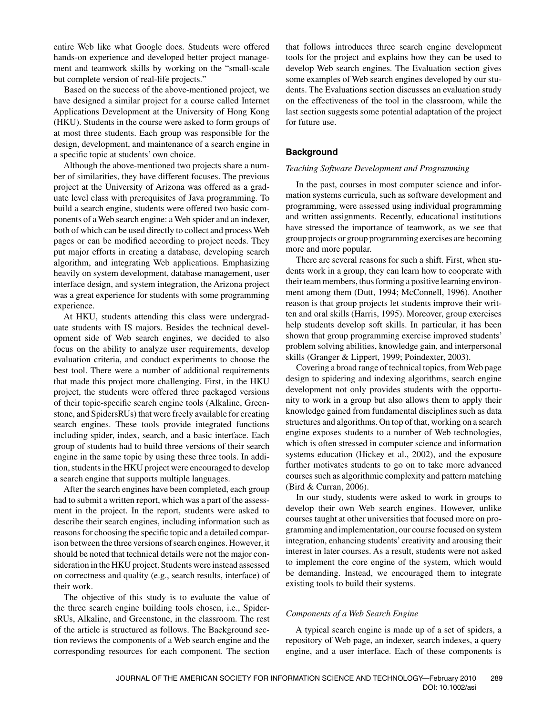entire Web like what Google does. Students were offered hands-on experience and developed better project management and teamwork skills by working on the "small-scale but complete version of real-life projects."

Based on the success of the above-mentioned project, we have designed a similar project for a course called Internet Applications Development at the University of Hong Kong (HKU). Students in the course were asked to form groups of at most three students. Each group was responsible for the design, development, and maintenance of a search engine in a specific topic at students' own choice.

Although the above-mentioned two projects share a number of similarities, they have different focuses. The previous project at the University of Arizona was offered as a graduate level class with prerequisites of Java programming. To build a search engine, students were offered two basic components of a Web search engine: a Web spider and an indexer, both of which can be used directly to collect and process Web pages or can be modified according to project needs. They put major efforts in creating a database, developing search algorithm, and integrating Web applications. Emphasizing heavily on system development, database management, user interface design, and system integration, the Arizona project was a great experience for students with some programming experience.

At HKU, students attending this class were undergraduate students with IS majors. Besides the technical development side of Web search engines, we decided to also focus on the ability to analyze user requirements, develop evaluation criteria, and conduct experiments to choose the best tool. There were a number of additional requirements that made this project more challenging. First, in the HKU project, the students were offered three packaged versions of their topic-specific search engine tools (Alkaline, Greenstone, and SpidersRUs) that were freely available for creating search engines. These tools provide integrated functions including spider, index, search, and a basic interface. Each group of students had to build three versions of their search engine in the same topic by using these three tools. In addition, students in the HKU project were encouraged to develop a search engine that supports multiple languages.

After the search engines have been completed, each group had to submit a written report, which was a part of the assessment in the project. In the report, students were asked to describe their search engines, including information such as reasons for choosing the specific topic and a detailed comparison between the three versions of search engines. However, it should be noted that technical details were not the major consideration in the HKU project. Students were instead assessed on correctness and quality (e.g., search results, interface) of their work.

The objective of this study is to evaluate the value of the three search engine building tools chosen, i.e., SpidersRUs, Alkaline, and Greenstone, in the classroom. The rest of the article is structured as follows. The Background section reviews the components of a Web search engine and the corresponding resources for each component. The section that follows introduces three search engine development tools for the project and explains how they can be used to develop Web search engines. The Evaluation section gives some examples of Web search engines developed by our students. The Evaluations section discusses an evaluation study on the effectiveness of the tool in the classroom, while the last section suggests some potential adaptation of the project for future use.

# **Background**

#### *Teaching Software Development and Programming*

In the past, courses in most computer science and information systems curricula, such as software development and programming, were assessed using individual programming and written assignments. Recently, educational institutions have stressed the importance of teamwork, as we see that group projects or group programming exercises are becoming more and more popular.

There are several reasons for such a shift. First, when students work in a group, they can learn how to cooperate with their team members, thus forming a positive learning environment among them (Dutt, 1994; McConnell, 1996). Another reason is that group projects let students improve their written and oral skills (Harris, 1995). Moreover, group exercises help students develop soft skills. In particular, it has been shown that group programming exercise improved students' problem solving abilities, knowledge gain, and interpersonal skills (Granger & Lippert, 1999; Poindexter, 2003).

Covering a broad range of technical topics, fromWeb page design to spidering and indexing algorithms, search engine development not only provides students with the opportunity to work in a group but also allows them to apply their knowledge gained from fundamental disciplines such as data structures and algorithms. On top of that, working on a search engine exposes students to a number of Web technologies, which is often stressed in computer science and information systems education (Hickey et al., 2002), and the exposure further motivates students to go on to take more advanced courses such as algorithmic complexity and pattern matching (Bird & Curran, 2006).

In our study, students were asked to work in groups to develop their own Web search engines. However, unlike courses taught at other universities that focused more on programming and implementation, our course focused on system integration, enhancing students' creativity and arousing their interest in later courses. As a result, students were not asked to implement the core engine of the system, which would be demanding. Instead, we encouraged them to integrate existing tools to build their systems.

#### *Components of a Web Search Engine*

A typical search engine is made up of a set of spiders, a repository of Web page, an indexer, search indexes, a query engine, and a user interface. Each of these components is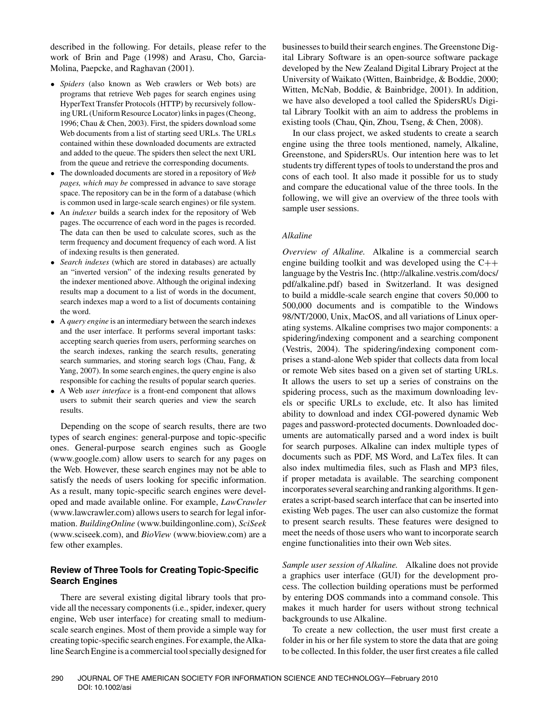described in the following. For details, please refer to the work of Brin and Page (1998) and Arasu, Cho, Garcia-Molina, Paepcke, and Raghavan (2001).

- *Spiders* (also known as Web crawlers or Web bots) are programs that retrieve Web pages for search engines using HyperText Transfer Protocols (HTTP) by recursively following URL (Uniform Resource Locator) links in pages (Cheong, 1996; Chau & Chen, 2003). First, the spiders download some Web documents from a list of starting seed URLs. The URLs contained within these downloaded documents are extracted and added to the queue. The spiders then select the next URL from the queue and retrieve the corresponding documents.
- The downloaded documents are stored in a repository of *Web pages, which may be* compressed in advance to save storage space. The repository can be in the form of a database (which is common used in large-scale search engines) or file system.
- An *indexer* builds a search index for the repository of Web pages. The occurrence of each word in the pages is recorded. The data can then be used to calculate scores, such as the term frequency and document frequency of each word. A list of indexing results is then generated.
- *Search indexes* (which are stored in databases) are actually an "inverted version" of the indexing results generated by the indexer mentioned above. Although the original indexing results map a document to a list of words in the document, search indexes map a word to a list of documents containing the word.
- A *query engine* is an intermediary between the search indexes and the user interface. It performs several important tasks: accepting search queries from users, performing searches on the search indexes, ranking the search results, generating search summaries, and storing search logs (Chau, Fang, & Yang, 2007). In some search engines, the query engine is also responsible for caching the results of popular search queries.
- A Web *user interface* is a front-end component that allows users to submit their search queries and view the search results.

Depending on the scope of search results, there are two types of search engines: general-purpose and topic-specific ones. General-purpose search engines such as Google (www.google.com) allow users to search for any pages on the Web. However, these search engines may not be able to satisfy the needs of users looking for specific information. As a result, many topic-specific search engines were developed and made available online. For example, *LawCrawler* (www.lawcrawler.com) allows users to search for legal information. *BuildingOnline* (www.buildingonline.com), *SciSeek* (www.sciseek.com), and *BioView* (www.bioview.com) are a few other examples.

# **Review of Three Tools for Creating Topic-Specific Search Engines**

There are several existing digital library tools that provide all the necessary components (i.e., spider, indexer, query engine, Web user interface) for creating small to mediumscale search engines. Most of them provide a simple way for creating topic-specific search engines. For example, theAlkaline Search Engine is a commercial tool specially designed for businesses to build their search engines. The Greenstone Digital Library Software is an open-source software package developed by the New Zealand Digital Library Project at the University of Waikato (Witten, Bainbridge, & Boddie, 2000; Witten, McNab, Boddie, & Bainbridge, 2001). In addition, we have also developed a tool called the SpidersRUs Digital Library Toolkit with an aim to address the problems in existing tools (Chau, Qin, Zhou, Tseng, & Chen, 2008).

In our class project, we asked students to create a search engine using the three tools mentioned, namely, Alkaline, Greenstone, and SpidersRUs. Our intention here was to let students try different types of tools to understand the pros and cons of each tool. It also made it possible for us to study and compare the educational value of the three tools. In the following, we will give an overview of the three tools with sample user sessions.

## *Alkaline*

*Overview of Alkaline.* Alkaline is a commercial search engine building toolkit and was developed using the  $C++$ language by the Vestris Inc. (http://alkaline.vestris.com/docs/ pdf/alkaline.pdf) based in Switzerland. It was designed to build a middle-scale search engine that covers 50,000 to 500,000 documents and is compatible to the Windows 98/NT/2000, Unix, MacOS, and all variations of Linux operating systems. Alkaline comprises two major components: a spidering/indexing component and a searching component (Vestris, 2004). The spidering/indexing component comprises a stand-alone Web spider that collects data from local or remote Web sites based on a given set of starting URLs. It allows the users to set up a series of constrains on the spidering process, such as the maximum downloading levels or specific URLs to exclude, etc. It also has limited ability to download and index CGI-powered dynamic Web pages and password-protected documents. Downloaded documents are automatically parsed and a word index is built for search purposes. Alkaline can index multiple types of documents such as PDF, MS Word, and LaTex files. It can also index multimedia files, such as Flash and MP3 files, if proper metadata is available. The searching component incorporates several searching and ranking algorithms. It generates a script-based search interface that can be inserted into existing Web pages. The user can also customize the format to present search results. These features were designed to meet the needs of those users who want to incorporate search engine functionalities into their own Web sites.

*Sample user session of Alkaline.* Alkaline does not provide a graphics user interface (GUI) for the development process. The collection building operations must be performed by entering DOS commands into a command console. This makes it much harder for users without strong technical backgrounds to use Alkaline.

To create a new collection, the user must first create a folder in his or her file system to store the data that are going to be collected. In this folder, the user first creates a file called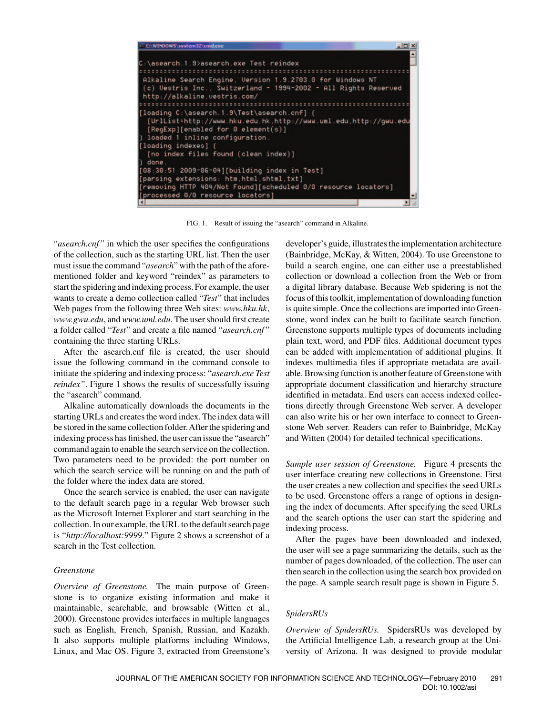

FIG. 1. Result of issuing the "asearch" command in Alkaline.

"*asearch.cnf*" in which the user specifies the configurations of the collection, such as the starting URL list. Then the user must issue the command "*asearch*" with the path of the aforementioned folder and keyword "reindex" as parameters to start the spidering and indexing process. For example, the user wants to create a demo collection called "*Test*" that includes Web pages from the following three Web sites: *www.hku.hk*, *www.gwu.edu*, and *www.uml.edu*. The user should first create a folder called "*Test*" and create a file named "*asearch.cnf* " containing the three starting URLs.

After the asearch.cnf file is created, the user should issue the following command in the command console to initiate the spidering and indexing process: "*asearch.exe Test reindex"*. Figure 1 shows the results of successfully issuing the "asearch" command.

Alkaline automatically downloads the documents in the starting URLs and creates the word index. The index data will be stored in the same collection folder.After the spidering and indexing process has finished, the user can issue the "asearch" command again to enable the search service on the collection. Two parameters need to be provided: the port number on which the search service will be running on and the path of the folder where the index data are stored.

Once the search service is enabled, the user can navigate to the default search page in a regular Web browser such as the Microsoft Internet Explorer and start searching in the collection. In our example, the URL to the default search page is "*http://localhost:9999*." Figure 2 shows a screenshot of a search in the Test collection.

## *Greenstone*

*Overview of Greenstone.* The main purpose of Greenstone is to organize existing information and make it maintainable, searchable, and browsable (Witten et al., 2000). Greenstone provides interfaces in multiple languages such as English, French, Spanish, Russian, and Kazakh. It also supports multiple platforms including Windows, Linux, and Mac OS. Figure 3, extracted from Greenstone's developer's guide, illustrates the implementation architecture (Bainbridge, McKay, & Witten, 2004). To use Greenstone to build a search engine, one can either use a preestablished collection or download a collection from the Web or from a digital library database. Because Web spidering is not the focus of this toolkit, implementation of downloading function is quite simple. Once the collections are imported into Greenstone, word index can be built to facilitate search function. Greenstone supports multiple types of documents including plain text, word, and PDF files. Additional document types can be added with implementation of additional plugins. It indexes multimedia files if appropriate metadata are available. Browsing function is another feature of Greenstone with appropriate document classification and hierarchy structure identified in metadata. End users can access indexed collections directly through Greenstone Web server. A developer can also write his or her own interface to connect to Greenstone Web server. Readers can refer to Bainbridge, McKay and Witten (2004) for detailed technical specifications.

*Sample user session of Greenstone.* Figure 4 presents the user interface creating new collections in Greenstone. First the user creates a new collection and specifies the seed URLs to be used. Greenstone offers a range of options in designing the index of documents. After specifying the seed URLs and the search options the user can start the spidering and indexing process.

After the pages have been downloaded and indexed, the user will see a page summarizing the details, such as the number of pages downloaded, of the collection. The user can then search in the collection using the search box provided on the page. A sample search result page is shown in Figure 5.

## *SpidersRUs*

*Overview of SpidersRUs.* SpidersRUs was developed by the Artificial Intelligence Lab, a research group at the University of Arizona. It was designed to provide modular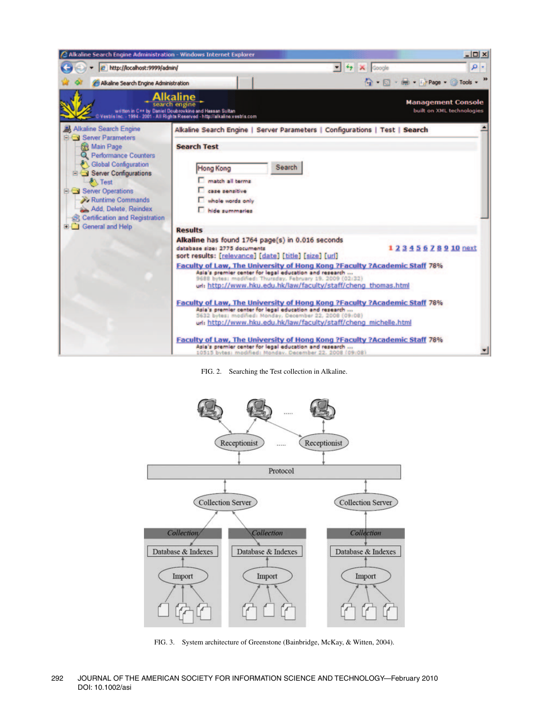

FIG. 2. Searching the Test collection in Alkaline.



FIG. 3. System architecture of Greenstone (Bainbridge, McKay, & Witten, 2004).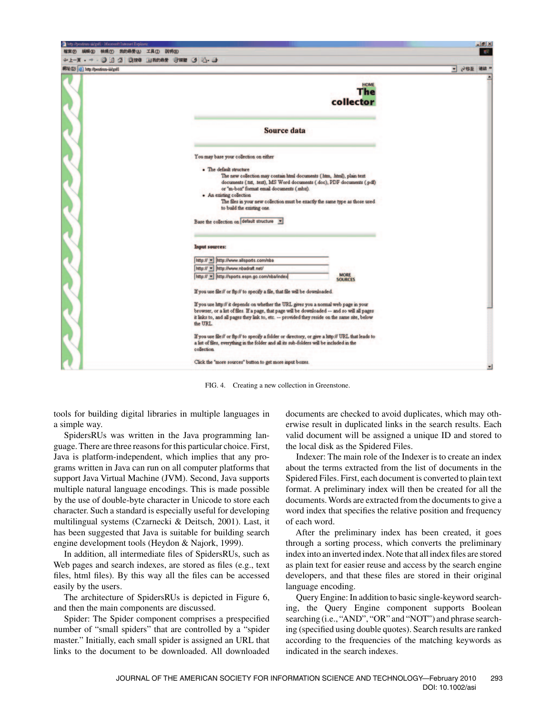

FIG. 4. Creating a new collection in Greenstone.

tools for building digital libraries in multiple languages in a simple way.

SpidersRUs was written in the Java programming language. There are three reasons for this particular choice. First, Java is platform-independent, which implies that any programs written in Java can run on all computer platforms that support Java Virtual Machine (JVM). Second, Java supports multiple natural language encodings. This is made possible by the use of double-byte character in Unicode to store each character. Such a standard is especially useful for developing multilingual systems (Czarnecki & Deitsch, 2001). Last, it has been suggested that Java is suitable for building search engine development tools (Heydon & Najork, 1999).

In addition, all intermediate files of SpidersRUs, such as Web pages and search indexes, are stored as files (e.g., text files, html files). By this way all the files can be accessed easily by the users.

The architecture of SpidersRUs is depicted in Figure 6, and then the main components are discussed.

Spider: The Spider component comprises a prespecified number of "small spiders" that are controlled by a "spider master." Initially, each small spider is assigned an URL that links to the document to be downloaded. All downloaded

documents are checked to avoid duplicates, which may otherwise result in duplicated links in the search results. Each valid document will be assigned a unique ID and stored to the local disk as the Spidered Files.

Indexer: The main role of the Indexer is to create an index about the terms extracted from the list of documents in the Spidered Files. First, each document is converted to plain text format. A preliminary index will then be created for all the documents.Words are extracted from the documents to give a word index that specifies the relative position and frequency of each word.

After the preliminary index has been created, it goes through a sorting process, which converts the preliminary index into an inverted index. Note that all index files are stored as plain text for easier reuse and access by the search engine developers, and that these files are stored in their original language encoding.

Query Engine: In addition to basic single-keyword searching, the Query Engine component supports Boolean searching (i.e., "AND", "OR" and "NOT") and phrase searching (specified using double quotes). Search results are ranked according to the frequencies of the matching keywords as indicated in the search indexes.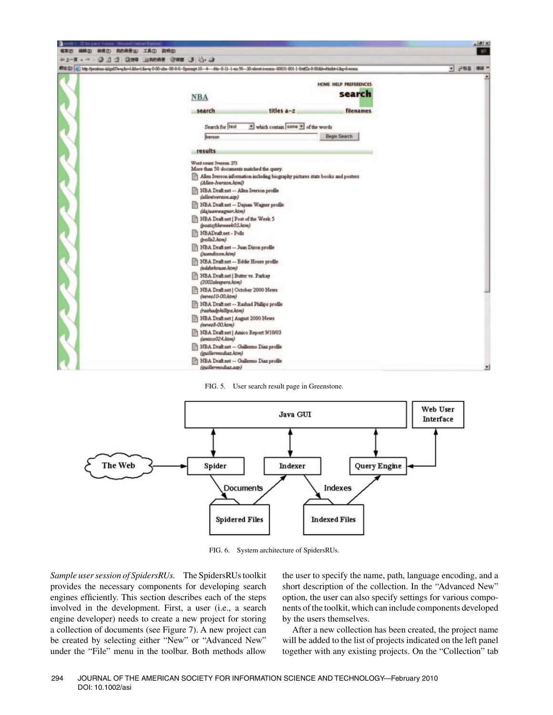| 20 for query: Iverson - Microsoft Internet Explores<br>我的最爱(A) 工具(I) 脱明(H)<br><b>棕茎(P)</b><br>檢視(Y)<br>揚帽(E) |                                                                                                                                                                  |                              | $-10x$           |
|--------------------------------------------------------------------------------------------------------------|------------------------------------------------------------------------------------------------------------------------------------------------------------------|------------------------------|------------------|
| O B & DIRG BROAT SWE O B. J<br>中上一頁<br>$ -$                                                                  |                                                                                                                                                                  |                              |                  |
|                                                                                                              | 網址(D) bittp://yentaun-iii/golf/b=q&r=1&hz=1&e=q-0-00-nbs-00-0-0-0prompt-10 --4---dtx-0-11-1-en-50 --20-about-iverson-00031-001-1-0uffZz-8-00&h=dtx&t=1&q=Iverson |                              | 連結 »<br>ご移車<br>⊣ |
|                                                                                                              |                                                                                                                                                                  |                              |                  |
|                                                                                                              |                                                                                                                                                                  | <b>HOME HELP PREFERENCES</b> |                  |
|                                                                                                              | <b>NBA</b>                                                                                                                                                       | search                       |                  |
|                                                                                                              | titles a-z<br>search                                                                                                                                             | filenames                    |                  |
|                                                                                                              |                                                                                                                                                                  |                              |                  |
|                                                                                                              | Search for text<br>which contain some " of the words                                                                                                             |                              |                  |
|                                                                                                              | <b>Iverson</b>                                                                                                                                                   | <b>Begin Search</b>          |                  |
|                                                                                                              | results                                                                                                                                                          |                              |                  |
|                                                                                                              | Word count: Iverson: 273<br>More than 50 documents matched the query.                                                                                            |                              |                  |
|                                                                                                              | Allen Iverson information including biography pictures stats books and posters<br>(Allen-Iverson.html)                                                           |                              |                  |
|                                                                                                              | NBA Draft net -- Allen Iverson profile<br>(alleniverson.asp)                                                                                                     |                              |                  |
|                                                                                                              | NBA Draft net -- Dajuan Wagner profile<br>(dajuanwagner.htm)                                                                                                     |                              |                  |
|                                                                                                              | NBA Draft net   Post of the Week 5<br>(postoftheweek05.htm)                                                                                                      |                              |                  |
|                                                                                                              | MBADraft.net - Polls<br>(polls2.htm)                                                                                                                             |                              |                  |
|                                                                                                              | NBA Draft net -- Juan Dixon profile<br>(juandixon.htm)                                                                                                           |                              |                  |
|                                                                                                              | NBA Draft net -- Eddie House profile<br>(eddiehouse.htm)                                                                                                         |                              |                  |
|                                                                                                              | NBA Draft.net   Butter vs. Parkay<br>(2002sleepers.htm)                                                                                                          |                              |                  |
|                                                                                                              | NBA Draft net   October 2000 News<br>$(news10-00.html)$                                                                                                          |                              |                  |
|                                                                                                              | NBA Draft net -- Rashad Philips profile<br>(rashadphillips.htm)                                                                                                  |                              |                  |
|                                                                                                              | NBA Draft.net   August 2000 News<br>$(news8-00.html)$                                                                                                            |                              |                  |
|                                                                                                              | NBA Draft net   Amico Report 9/10/03<br>l80<br>(amico024.htm)                                                                                                    |                              |                  |
|                                                                                                              | NBA Draft net -- Guillermo Diaz profile<br>(guillermodiaz.htm)                                                                                                   |                              |                  |
|                                                                                                              | NBA Draft net -- Guillermo Diaz profile<br>(guillermodiaz.asp)                                                                                                   |                              |                  |

FIG. 5. User search result page in Greenstone.



FIG. 6. System architecture of SpidersRUs.

*Sample user session of SpidersRUs.* The SpidersRUs toolkit provides the necessary components for developing search engines efficiently. This section describes each of the steps involved in the development. First, a user (i.e., a search engine developer) needs to create a new project for storing a collection of documents (see Figure 7). A new project can be created by selecting either "New" or "Advanced New" under the "File" menu in the toolbar. Both methods allow the user to specify the name, path, language encoding, and a short description of the collection. In the "Advanced New" option, the user can also specify settings for various components of the toolkit, which can include components developed by the users themselves.

After a new collection has been created, the project name will be added to the list of projects indicated on the left panel together with any existing projects. On the "Collection" tab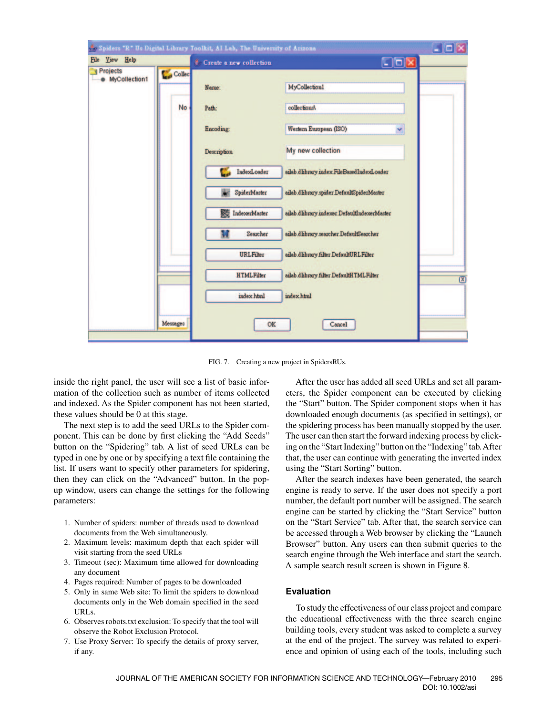

FIG. 7. Creating a new project in SpidersRUs.

inside the right panel, the user will see a list of basic information of the collection such as number of items collected and indexed. As the Spider component has not been started, these values should be 0 at this stage.

The next step is to add the seed URLs to the Spider component. This can be done by first clicking the "Add Seeds" button on the "Spidering" tab. A list of seed URLs can be typed in one by one or by specifying a text file containing the list. If users want to specify other parameters for spidering, then they can click on the "Advanced" button. In the popup window, users can change the settings for the following parameters:

- 1. Number of spiders: number of threads used to download documents from the Web simultaneously.
- 2. Maximum levels: maximum depth that each spider will visit starting from the seed URLs
- 3. Timeout (sec): Maximum time allowed for downloading any document
- 4. Pages required: Number of pages to be downloaded
- 5. Only in same Web site: To limit the spiders to download documents only in the Web domain specified in the seed URLs.
- 6. Observes robots.txt exclusion: To specify that the tool will observe the Robot Exclusion Protocol.
- 7. Use Proxy Server: To specify the details of proxy server, if any.

After the user has added all seed URLs and set all parameters, the Spider component can be executed by clicking the "Start" button. The Spider component stops when it has downloaded enough documents (as specified in settings), or the spidering process has been manually stopped by the user. The user can then start the forward indexing process by clicking on the "Start Indexing" button on the "Indexing" tab.After that, the user can continue with generating the inverted index using the "Start Sorting" button.

After the search indexes have been generated, the search engine is ready to serve. If the user does not specify a port number, the default port number will be assigned. The search engine can be started by clicking the "Start Service" button on the "Start Service" tab. After that, the search service can be accessed through a Web browser by clicking the "Launch Browser" button. Any users can then submit queries to the search engine through the Web interface and start the search. A sample search result screen is shown in Figure 8.

# **Evaluation**

To study the effectiveness of our class project and compare the educational effectiveness with the three search engine building tools, every student was asked to complete a survey at the end of the project. The survey was related to experience and opinion of using each of the tools, including such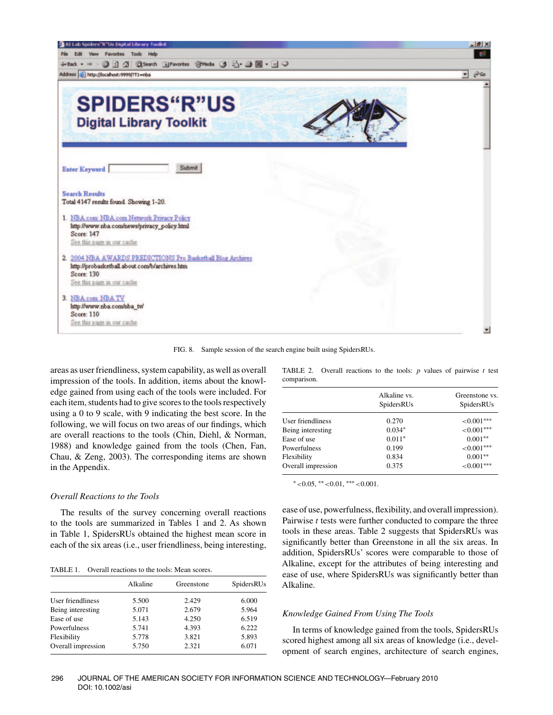

FIG. 8. Sample session of the search engine built using SpidersRUs.

areas as user friendliness, system capability, as well as overall impression of the tools. In addition, items about the knowledge gained from using each of the tools were included. For each item, students had to give scores to the tools respectively using a 0 to 9 scale, with 9 indicating the best score. In the following, we will focus on two areas of our findings, which are overall reactions to the tools (Chin, Diehl, & Norman, 1988) and knowledge gained from the tools (Chen, Fan, Chau, & Zeng, 2003). The corresponding items are shown in the Appendix.

## *Overall Reactions to the Tools*

The results of the survey concerning overall reactions to the tools are summarized in Tables 1 and 2. As shown in Table 1, SpidersRUs obtained the highest mean score in each of the six areas (i.e., user friendliness, being interesting,

| TABLE 1. | Overall reactions to the tools: Mean scores. |  |  |  |
|----------|----------------------------------------------|--|--|--|
|          |                                              |  |  |  |

|                    | Alkaline | Greenstone | SpidersRUs |
|--------------------|----------|------------|------------|
| User friendliness  | 5.500    | 2.429      | 6.000      |
| Being interesting  | 5.071    | 2.679      | 5.964      |
| Ease of use        | 5.143    | 4.250      | 6.519      |
| Powerfulness       | 5.741    | 4.393      | 6.222      |
| Flexibility        | 5.778    | 3.821      | 5.893      |
| Overall impression | 5.750    | 2.321      | 6.071      |

TABLE 2. Overall reactions to the tools:  $p$  values of pairwise  $t$  test comparison.

|                    | Alkaline vs.<br>SpidersRUs | Greenstone vs.<br>SpidersRUs |
|--------------------|----------------------------|------------------------------|
| User friendliness  | 0.270                      | ${<}0.001***$                |
| Being interesting  | $0.034*$                   | ${<}0.001***$                |
| Ease of use        | $0.011*$                   | $0.001**$                    |
| Powerfulness       | 0.199                      | ${<}0.001***$                |
| Flexibility        | 0.834                      | $0.001**$                    |
| Overall impression | 0.375                      | ${<}0.001***$                |
|                    |                            |                              |

 $* < 0.05, ** < 0.01, ** < 0.001.$ 

ease of use, powerfulness, flexibility, and overall impression). Pairwise  $t$  tests were further conducted to compare the three tools in these areas. Table 2 suggests that SpidersRUs was significantly better than Greenstone in all the six areas. In addition, SpidersRUs' scores were comparable to those of Alkaline, except for the attributes of being interesting and ease of use, where SpidersRUs was significantly better than Alkaline.

#### *Knowledge Gained From Using The Tools*

In terms of knowledge gained from the tools, SpidersRUs scored highest among all six areas of knowledge (i.e., development of search engines, architecture of search engines,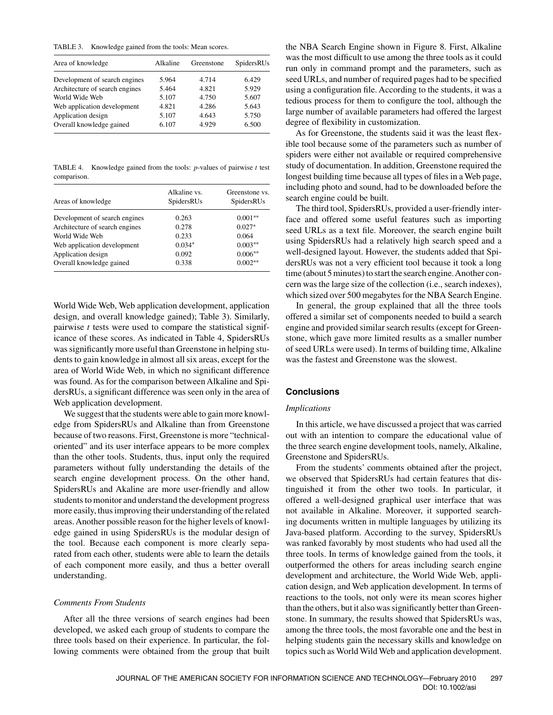TABLE 3. Knowledge gained from the tools: Mean scores.

| Area of knowledge              | Alkaline | Greenstone | SpidersRUs |
|--------------------------------|----------|------------|------------|
| Development of search engines  | 5.964    | 4.714      | 6.429      |
| Architecture of search engines | 5.464    | 4.821      | 5.929      |
| World Wide Web                 | 5.107    | 4.750      | 5.607      |
| Web application development    | 4.821    | 4.286      | 5.643      |
| Application design             | 5.107    | 4.643      | 5.750      |
| Overall knowledge gained       | 6.107    | 4.929      | 6.500      |

TABLE 4. Knowledge gained from the tools:  $p$ -values of pairwise  $t$  test comparison.

| Areas of knowledge             | Alkaline vs.<br>SpidersRUs | Greenstone vs.<br>SpidersRUs |
|--------------------------------|----------------------------|------------------------------|
| Development of search engines  | 0.263                      | $0.001**$                    |
| Architecture of search engines | 0.278                      | $0.027*$                     |
| World Wide Web                 | 0.233                      | 0.064                        |
| Web application development    | $0.034*$                   | $0.003**$                    |
| Application design             | 0.092                      | $0.006**$                    |
| Overall knowledge gained       | 0.338                      | $0.002**$                    |

World Wide Web, Web application development, application design, and overall knowledge gained); Table 3). Similarly, pairwise  $t$  tests were used to compare the statistical significance of these scores. As indicated in Table 4, SpidersRUs was significantly more useful than Greenstone in helping students to gain knowledge in almost all six areas, except for the area of World Wide Web, in which no significant difference was found. As for the comparison between Alkaline and SpidersRUs, a significant difference was seen only in the area of Web application development.

We suggest that the students were able to gain more knowledge from SpidersRUs and Alkaline than from Greenstone because of two reasons. First, Greenstone is more "technicaloriented" and its user interface appears to be more complex than the other tools. Students, thus, input only the required parameters without fully understanding the details of the search engine development process. On the other hand, SpidersRUs and Akaline are more user-friendly and allow students to monitor and understand the development progress more easily, thus improving their understanding of the related areas. Another possible reason for the higher levels of knowledge gained in using SpidersRUs is the modular design of the tool. Because each component is more clearly separated from each other, students were able to learn the details of each component more easily, and thus a better overall understanding.

#### *Comments From Students*

After all the three versions of search engines had been developed, we asked each group of students to compare the three tools based on their experience. In particular, the following comments were obtained from the group that built the NBA Search Engine shown in Figure 8. First, Alkaline was the most difficult to use among the three tools as it could run only in command prompt and the parameters, such as seed URLs, and number of required pages had to be specified using a configuration file. According to the students, it was a tedious process for them to configure the tool, although the large number of available parameters had offered the largest degree of flexibility in customization.

As for Greenstone, the students said it was the least flexible tool because some of the parameters such as number of spiders were either not available or required comprehensive study of documentation. In addition, Greenstone required the longest building time because all types of files in a Web page, including photo and sound, had to be downloaded before the search engine could be built.

The third tool, SpidersRUs, provided a user-friendly interface and offered some useful features such as importing seed URLs as a text file. Moreover, the search engine built using SpidersRUs had a relatively high search speed and a well-designed layout. However, the students added that SpidersRUs was not a very efficient tool because it took a long time (about 5 minutes) to start the search engine. Another concern was the large size of the collection (i.e., search indexes), which sized over 500 megabytes for the NBA Search Engine.

In general, the group explained that all the three tools offered a similar set of components needed to build a search engine and provided similar search results (except for Greenstone, which gave more limited results as a smaller number of seed URLs were used). In terms of building time, Alkaline was the fastest and Greenstone was the slowest.

#### **Conclusions**

#### *Implications*

In this article, we have discussed a project that was carried out with an intention to compare the educational value of the three search engine development tools, namely, Alkaline, Greenstone and SpidersRUs.

From the students' comments obtained after the project, we observed that SpidersRUs had certain features that distinguished it from the other two tools. In particular, it offered a well-designed graphical user interface that was not available in Alkaline. Moreover, it supported searching documents written in multiple languages by utilizing its Java-based platform. According to the survey, SpidersRUs was ranked favorably by most students who had used all the three tools. In terms of knowledge gained from the tools, it outperformed the others for areas including search engine development and architecture, the World Wide Web, application design, and Web application development. In terms of reactions to the tools, not only were its mean scores higher than the others, but it also was significantly better than Greenstone. In summary, the results showed that SpidersRUs was, among the three tools, the most favorable one and the best in helping students gain the necessary skills and knowledge on topics such as World Wild Web and application development.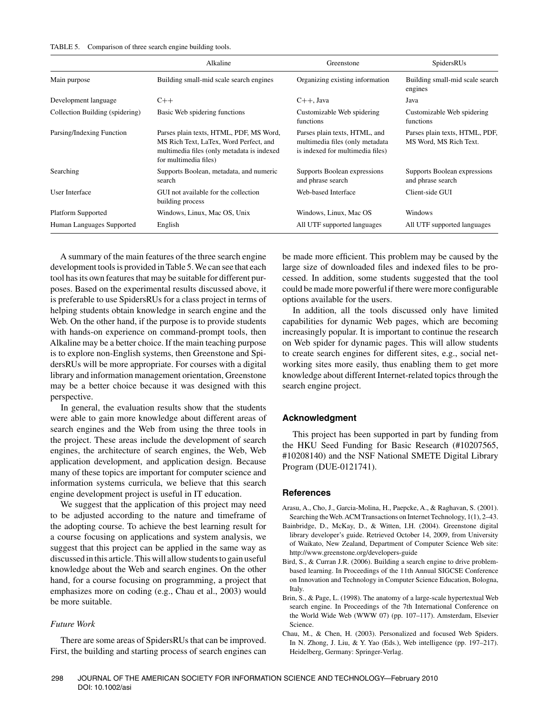|                                 | Alkaline                                                                                                                                                 | Greenstone                                                                                           | SpidersRUs                                               |
|---------------------------------|----------------------------------------------------------------------------------------------------------------------------------------------------------|------------------------------------------------------------------------------------------------------|----------------------------------------------------------|
| Main purpose                    | Building small-mid scale search engines                                                                                                                  | Organizing existing information                                                                      | Building small-mid scale search<br>engines               |
| Development language            | $C++$                                                                                                                                                    | $C++$ , Java                                                                                         | Java                                                     |
| Collection Building (spidering) | Basic Web spidering functions                                                                                                                            | Customizable Web spidering<br>functions                                                              | Customizable Web spidering<br>functions                  |
| Parsing/Indexing Function       | Parses plain texts, HTML, PDF, MS Word,<br>MS Rich Text, LaTex, Word Perfect, and<br>multimedia files (only metadata is indexed<br>for multimedia files) | Parses plain texts, HTML, and<br>multimedia files (only metadata<br>is indexed for multimedia files) | Parses plain texts, HTML, PDF,<br>MS Word, MS Rich Text. |
| Searching                       | Supports Boolean, metadata, and numeric<br>search                                                                                                        | Supports Boolean expressions<br>and phrase search                                                    | Supports Boolean expressions<br>and phrase search        |
| User Interface                  | GUI not available for the collection<br>building process                                                                                                 | Web-based Interface                                                                                  | Client-side GUI                                          |
| Platform Supported              | Windows, Linux, Mac OS, Unix                                                                                                                             | Windows, Linux, Mac OS                                                                               | Windows                                                  |
| Human Languages Supported       | English                                                                                                                                                  | All UTF supported languages                                                                          | All UTF supported languages                              |

A summary of the main features of the three search engine development tools is provided in Table 5.We can see that each tool has its own features that may be suitable for different purposes. Based on the experimental results discussed above, it is preferable to use SpidersRUs for a class project in terms of helping students obtain knowledge in search engine and the Web. On the other hand, if the purpose is to provide students with hands-on experience on command-prompt tools, then Alkaline may be a better choice. If the main teaching purpose is to explore non-English systems, then Greenstone and SpidersRUs will be more appropriate. For courses with a digital library and information management orientation, Greenstone may be a better choice because it was designed with this perspective.

In general, the evaluation results show that the students were able to gain more knowledge about different areas of search engines and the Web from using the three tools in the project. These areas include the development of search engines, the architecture of search engines, the Web, Web application development, and application design. Because many of these topics are important for computer science and information systems curricula, we believe that this search engine development project is useful in IT education.

We suggest that the application of this project may need to be adjusted according to the nature and timeframe of the adopting course. To achieve the best learning result for a course focusing on applications and system analysis, we suggest that this project can be applied in the same way as discussed in this article. This will allow students to gain useful knowledge about the Web and search engines. On the other hand, for a course focusing on programming, a project that emphasizes more on coding (e.g., Chau et al., 2003) would be more suitable.

### *Future Work*

There are some areas of SpidersRUs that can be improved. First, the building and starting process of search engines can be made more efficient. This problem may be caused by the large size of downloaded files and indexed files to be processed. In addition, some students suggested that the tool could be made more powerful if there were more configurable options available for the users.

In addition, all the tools discussed only have limited capabilities for dynamic Web pages, which are becoming increasingly popular. It is important to continue the research on Web spider for dynamic pages. This will allow students to create search engines for different sites, e.g., social networking sites more easily, thus enabling them to get more knowledge about different Internet-related topics through the search engine project.

## **Acknowledgment**

This project has been supported in part by funding from the HKU Seed Funding for Basic Research (#10207565, #10208140) and the NSF National SMETE Digital Library Program (DUE-0121741).

#### **References**

- Arasu, A., Cho, J., Garcia-Molina, H., Paepcke, A., & Raghavan, S. (2001). Searching the Web. ACM Transactions on Internet Technology, 1(1), 2-43.
- Bainbridge, D., McKay, D., & Witten, I.H. (2004). Greenstone digital library developer's guide. Retrieved October 14, 2009, from University of Waikato, New Zealand, Department of Computer Science Web site: http://www.greenstone.org/developers-guide
- Bird, S., & Curran J.R. (2006). Building a search engine to drive problembased learning. In Proceedings of the 11th Annual SIGCSE Conference on Innovation and Technology in Computer Science Education, Bologna, Italy.
- Brin, S., & Page, L. (1998). The anatomy of a large-scale hypertextual Web search engine. In Proceedings of the 7th International Conference on the World Wide Web (WWW 07) (pp. 107–117). Amsterdam, Elsevier Science.
- Chau, M., & Chen, H. (2003). Personalized and focused Web Spiders. In N. Zhong, J. Liu, & Y. Yao (Eds.), Web intelligence (pp. 197–217). Heidelberg, Germany: Springer-Verlag.